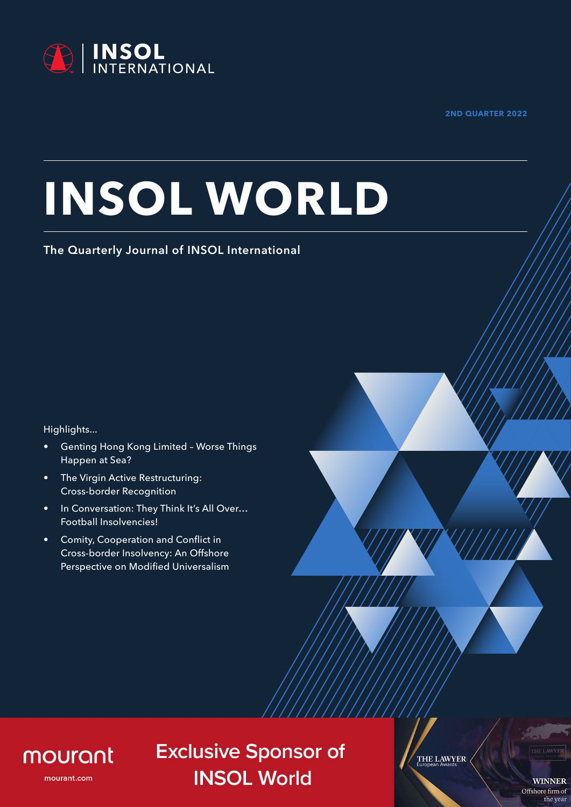

**2ND QUARTER 2022**

# **INSOL WORLD**

#### **The Quarterly Journal of INSOL International**

Highlights...

- Genting Hong Kong Limited Worse Things Happen at Sea?
- The Virgin Active Restructuring: Cross-border Recognition
- In Conversation: They Think It's All Over… Football Insolvencies!
- Comity, Cooperation and Conflict in Cross-border Insolvency: An Offshore Perspective on Modified Universalism



### mourant

mourant.com

**Exclusive Sponsor of INSOL World** 

THE LAWYER

**WINNER** Offshore firm of the year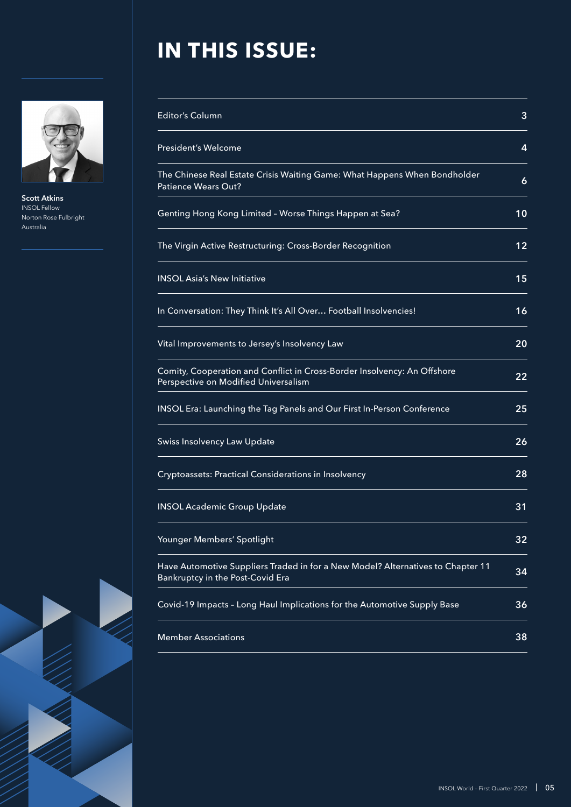

**Scott Atkins** INSOL Fellow Norton Rose Fulbright Australia

## **IN THIS ISSUE:**

| Editor's Column                                                                                                     | 3  |
|---------------------------------------------------------------------------------------------------------------------|----|
| <b>President's Welcome</b>                                                                                          | 4  |
| The Chinese Real Estate Crisis Waiting Game: What Happens When Bondholder<br>Patience Wears Out?                    | 6  |
| Genting Hong Kong Limited - Worse Things Happen at Sea?                                                             | 10 |
| The Virgin Active Restructuring: Cross-Border Recognition                                                           | 12 |
| <b>INSOL Asia's New Initiative</b>                                                                                  | 15 |
| In Conversation: They Think It's All Over Football Insolvencies!                                                    | 16 |
| Vital Improvements to Jersey's Insolvency Law                                                                       | 20 |
| Comity, Cooperation and Conflict in Cross-Border Insolvency: An Offshore<br>Perspective on Modified Universalism    | 22 |
| INSOL Era: Launching the Tag Panels and Our First In-Person Conference                                              | 25 |
| Swiss Insolvency Law Update                                                                                         | 26 |
| Cryptoassets: Practical Considerations in Insolvency                                                                | 28 |
| <b>INSOL Academic Group Update</b>                                                                                  | 31 |
| Younger Members' Spotlight                                                                                          | 32 |
| Have Automotive Suppliers Traded in for a New Model? Alternatives to Chapter 11<br>Bankruptcy in the Post-Covid Era | 34 |
| Covid-19 Impacts - Long Haul Implications for the Automotive Supply Base                                            | 36 |
| <b>Member Associations</b>                                                                                          | 38 |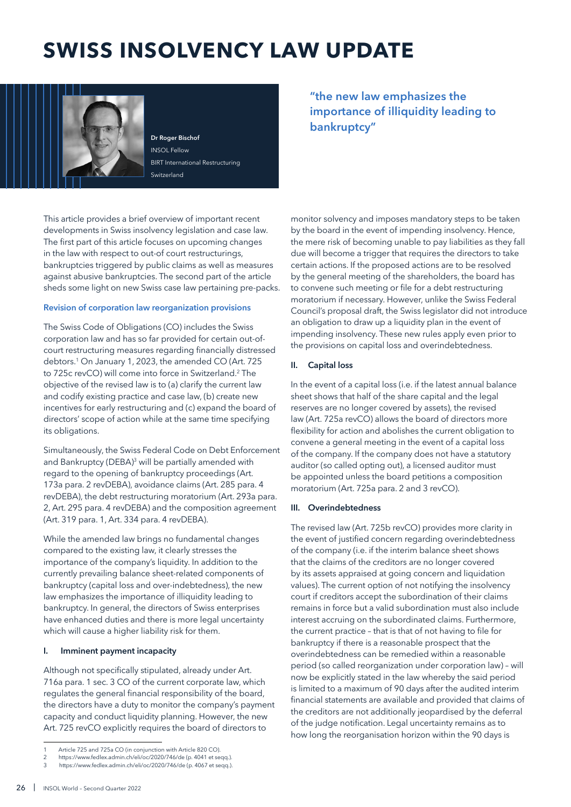## **SWISS INSOLVENCY LAW UPDATE**



**Dr Roger Bischof** INSOL Fellow BIRT International Restructuring Switzerland

This article provides a brief overview of important recent developments in Swiss insolvency legislation and case law. The first part of this article focuses on upcoming changes in the law with respect to out-of court restructurings, bankruptcies triggered by public claims as well as measures against abusive bankruptcies. The second part of the article sheds some light on new Swiss case law pertaining pre-packs.

#### **Revision of corporation law reorganization provisions**

The Swiss Code of Obligations (CO) includes the Swiss corporation law and has so far provided for certain out-ofcourt restructuring measures regarding financially distressed debtors.<sup>1</sup> On January 1, 2023, the amended CO (Art. 725 to 725c revCO) will come into force in Switzerland.<sup>2</sup> The objective of the revised law is to (a) clarify the current law and codify existing practice and case law, (b) create new incentives for early restructuring and (c) expand the board of directors' scope of action while at the same time specifying its obligations.

Simultaneously, the Swiss Federal Code on Debt Enforcement and Bankruptcy (DEBA)<sup>3</sup> will be partially amended with regard to the opening of bankruptcy proceedings (Art. 173a para. 2 revDEBA), avoidance claims (Art. 285 para. 4 revDEBA), the debt restructuring moratorium (Art. 293a para. 2, Art. 295 para. 4 revDEBA) and the composition agreement (Art. 319 para. 1, Art. 334 para. 4 revDEBA).

While the amended law brings no fundamental changes compared to the existing law, it clearly stresses the importance of the company's liquidity. In addition to the currently prevailing balance sheet-related components of bankruptcy (capital loss and over-indebtedness), the new law emphasizes the importance of illiquidity leading to bankruptcy. In general, the directors of Swiss enterprises have enhanced duties and there is more legal uncertainty which will cause a higher liability risk for them.

#### **I. Imminent payment incapacity**

Although not specifically stipulated, already under Art. 716a para. 1 sec. 3 CO of the current corporate law, which regulates the general financial responsibility of the board, the directors have a duty to monitor the company's payment capacity and conduct liquidity planning. However, the new Art. 725 revCO explicitly requires the board of directors to

**"the new law emphasizes the importance of illiquidity leading to bankruptcy"**

monitor solvency and imposes mandatory steps to be taken by the board in the event of impending insolvency. Hence, the mere risk of becoming unable to pay liabilities as they fall due will become a trigger that requires the directors to take certain actions. If the proposed actions are to be resolved by the general meeting of the shareholders, the board has to convene such meeting or file for a debt restructuring moratorium if necessary. However, unlike the Swiss Federal Council's proposal draft, the Swiss legislator did not introduce an obligation to draw up a liquidity plan in the event of impending insolvency. These new rules apply even prior to the provisions on capital loss and overindebtedness.

#### **II. Capital loss**

In the event of a capital loss (i.e. if the latest annual balance sheet shows that half of the share capital and the legal reserves are no longer covered by assets), the revised law (Art. 725a revCO) allows the board of directors more flexibility for action and abolishes the current obligation to convene a general meeting in the event of a capital loss of the company. If the company does not have a statutory auditor (so called opting out), a licensed auditor must be appointed unless the board petitions a composition moratorium (Art. 725a para. 2 and 3 revCO).

#### **III. Overindebtedness**

The revised law (Art. 725b revCO) provides more clarity in the event of justified concern regarding overindebtedness of the company (i.e. if the interim balance sheet shows that the claims of the creditors are no longer covered by its assets appraised at going concern and liquidation values). The current option of not notifying the insolvency court if creditors accept the subordination of their claims remains in force but a valid subordination must also include interest accruing on the subordinated claims. Furthermore, the current practice – that is that of not having to file for bankruptcy if there is a reasonable prospect that the overindebtedness can be remedied within a reasonable period (so called reorganization under corporation law) – will now be explicitly stated in the law whereby the said period is limited to a maximum of 90 days after the audited interim financial statements are available and provided that claims of the creditors are not additionally jeopardised by the deferral of the judge notification. Legal uncertainty remains as to how long the reorganisation horizon within the 90 days is

Article 725 and 725a CO (in conjunction with Article 820 CO).

<sup>2</sup> https://www.fedlex.admin.ch/eli/oc/2020/746/de (p. 4041 et seqq.).

<sup>3</sup> https://www.fedlex.admin.ch/eli/oc/2020/746/de (p. 4067 et seqq.).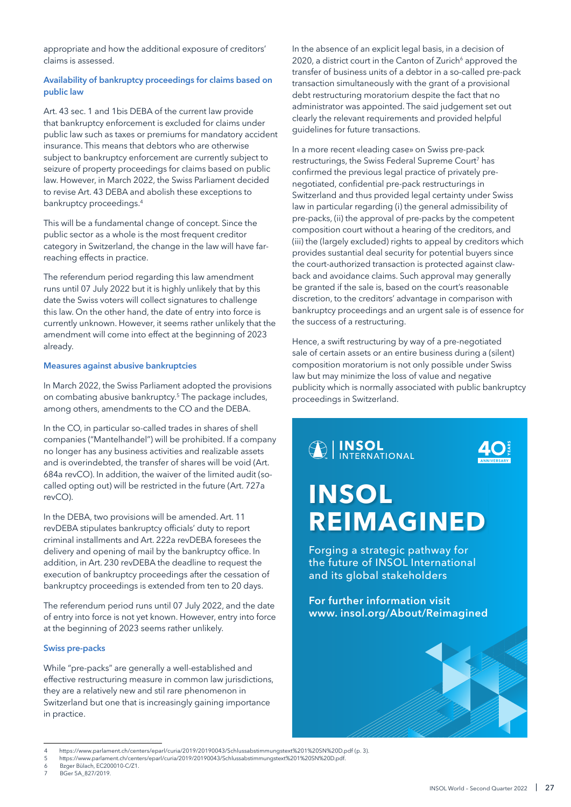appropriate and how the additional exposure of creditors' claims is assessed.

#### **Availability of bankruptcy proceedings for claims based on public law**

Art. 43 sec. 1 and 1bis DEBA of the current law provide that bankruptcy enforcement is excluded for claims under public law such as taxes or premiums for mandatory accident insurance. This means that debtors who are otherwise subject to bankruptcy enforcement are currently subject to seizure of property proceedings for claims based on public law. However, in March 2022, the Swiss Parliament decided to revise Art. 43 DEBA and abolish these exceptions to bankruptcy proceedings.<sup>4</sup>

This will be a fundamental change of concept. Since the public sector as a whole is the most frequent creditor category in Switzerland, the change in the law will have farreaching effects in practice.

The referendum period regarding this law amendment runs until 07 July 2022 but it is highly unlikely that by this date the Swiss voters will collect signatures to challenge this law. On the other hand, the date of entry into force is currently unknown. However, it seems rather unlikely that the amendment will come into effect at the beginning of 2023 already.

#### **Measures against abusive bankruptcies**

In March 2022, the Swiss Parliament adopted the provisions on combating abusive bankruptcy.<sup>5</sup> The package includes, among others, amendments to the CO and the DEBA.

In the CO, in particular so-called trades in shares of shell companies ("Mantelhandel") will be prohibited. If a company no longer has any business activities and realizable assets and is overindebted, the transfer of shares will be void (Art. 684a revCO). In addition, the waiver of the limited audit (socalled opting out) will be restricted in the future (Art. 727a revCO).

In the DEBA, two provisions will be amended. Art. 11 revDEBA stipulates bankruptcy officials' duty to report criminal installments and Art. 222a revDEBA foresees the delivery and opening of mail by the bankruptcy office. In addition, in Art. 230 revDEBA the deadline to request the execution of bankruptcy proceedings after the cessation of bankruptcy proceedings is extended from ten to 20 days.

The referendum period runs until 07 July 2022, and the date of entry into force is not yet known. However, entry into force at the beginning of 2023 seems rather unlikely.

#### **Swiss pre-packs**

While "pre-packs" are generally a well-established and effective restructuring measure in common law jurisdictions, they are a relatively new and stil rare phenomenon in Switzerland but one that is increasingly gaining importance in practice.

In the absence of an explicit legal basis, in a decision of 2020, a district court in the Canton of Zurich<sup>6</sup> approved the transfer of business units of a debtor in a so-called pre-pack transaction simultaneously with the grant of a provisional debt restructuring moratorium despite the fact that no administrator was appointed. The said judgement set out clearly the relevant requirements and provided helpful guidelines for future transactions.

In a more recent «leading case» on Swiss pre-pack restructurings, the Swiss Federal Supreme Court<sup>7</sup> has confirmed the previous legal practice of privately prenegotiated, confidential pre-pack restructurings in Switzerland and thus provided legal certainty under Swiss law in particular regarding (i) the general admissibility of pre-packs, (ii) the approval of pre-packs by the competent composition court without a hearing of the creditors, and (iii) the (largely excluded) rights to appeal by creditors which provides sustantial deal security for potential buyers since the court-authorized transaction is protected against clawback and avoidance claims. Such approval may generally be granted if the sale is, based on the court's reasonable discretion, to the creditors' advantage in comparison with bankruptcy proceedings and an urgent sale is of essence for the success of a restructuring.

Hence, a swift restructuring by way of a pre-negotiated sale of certain assets or an entire business during a (silent) composition moratorium is not only possible under Swiss law but may minimize the loss of value and negative publicity which is normally associated with public bankruptcy proceedings in Switzerland.



<sup>4</sup> https://www.parlament.ch/centers/eparl/curia/2019/20190043/Schlussabstimmungstext%201%20SN%20D.pdf (p. 3).

<sup>5</sup> https://www.parlament.ch/centers/eparl/curia/2019/20190043/Schlussabstimmungstext%201%20SN%20D.pdf.

Bzger Bülach, EC200010-C/Z1.

BGer 5A 827/2019